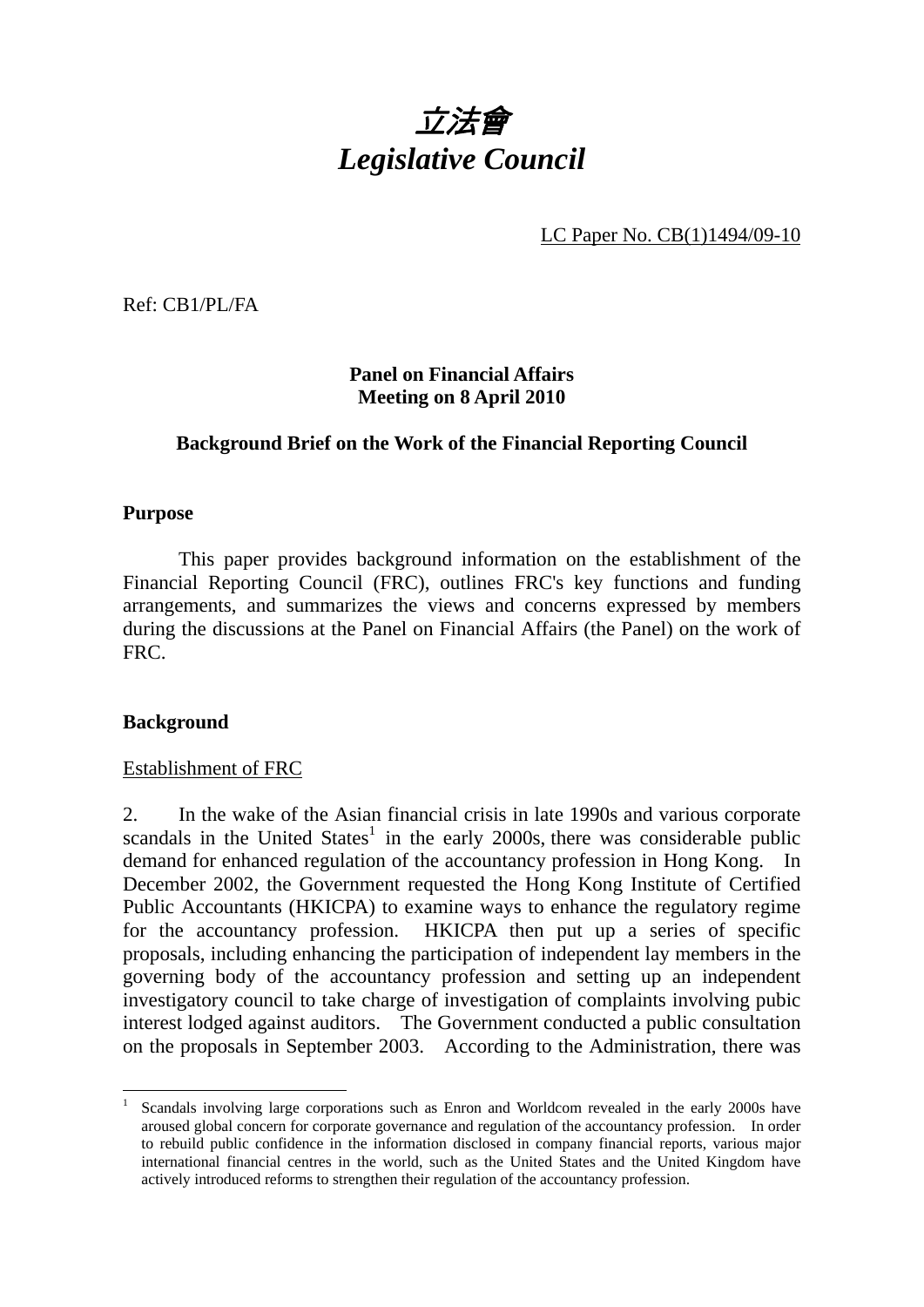# 立法會 *Legislative Council*

LC Paper No. CB(1)1494/09-10

Ref: CB1/PL/FA

**Panel on Financial Affairs Meeting on 8 April 2010** 

## **Background Brief on the Work of the Financial Reporting Council**

#### **Purpose**

 This paper provides background information on the establishment of the Financial Reporting Council (FRC), outlines FRC's key functions and funding arrangements, and summarizes the views and concerns expressed by members during the discussions at the Panel on Financial Affairs (the Panel) on the work of FRC.

#### **Background**

#### Establishment of FRC

2. In the wake of the Asian financial crisis in late 1990s and various corporate scandals in the United States<sup>1</sup> in the early 2000s, there was considerable public demand for enhanced regulation of the accountancy profession in Hong Kong. In December 2002, the Government requested the Hong Kong Institute of Certified Public Accountants (HKICPA) to examine ways to enhance the regulatory regime for the accountancy profession. HKICPA then put up a series of specific proposals, including enhancing the participation of independent lay members in the governing body of the accountancy profession and setting up an independent investigatory council to take charge of investigation of complaints involving pubic interest lodged against auditors. The Government conducted a public consultation on the proposals in September 2003. According to the Administration, there was

 $\frac{1}{1}$  Scandals involving large corporations such as Enron and Worldcom revealed in the early 2000s have aroused global concern for corporate governance and regulation of the accountancy profession. In order to rebuild public confidence in the information disclosed in company financial reports, various major international financial centres in the world, such as the United States and the United Kingdom have actively introduced reforms to strengthen their regulation of the accountancy profession.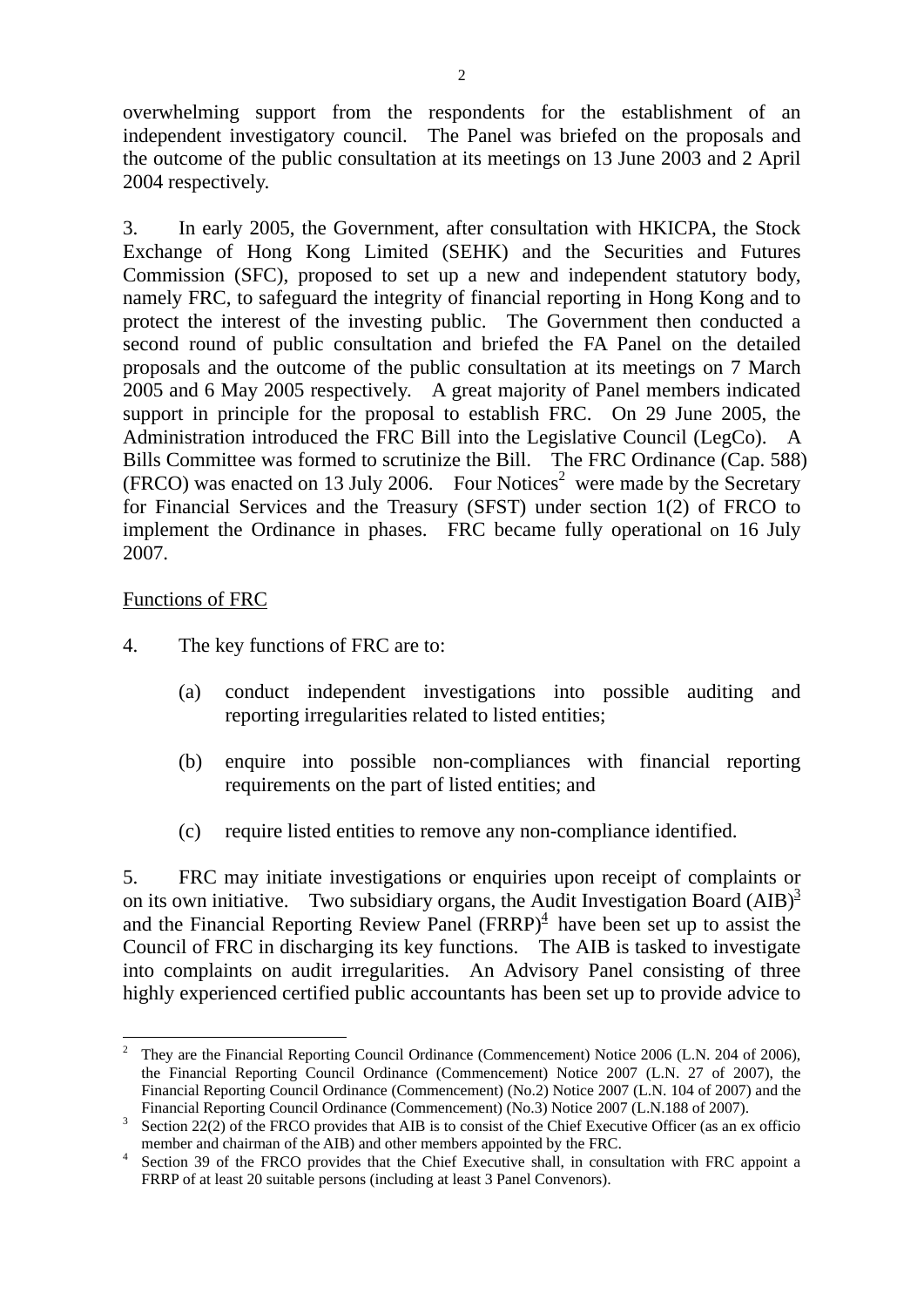overwhelming support from the respondents for the establishment of an independent investigatory council. The Panel was briefed on the proposals and the outcome of the public consultation at its meetings on 13 June 2003 and 2 April 2004 respectively.

3. In early 2005, the Government, after consultation with HKICPA, the Stock Exchange of Hong Kong Limited (SEHK) and the Securities and Futures Commission (SFC), proposed to set up a new and independent statutory body, namely FRC, to safeguard the integrity of financial reporting in Hong Kong and to protect the interest of the investing public. The Government then conducted a second round of public consultation and briefed the FA Panel on the detailed proposals and the outcome of the public consultation at its meetings on 7 March 2005 and 6 May 2005 respectively. A great majority of Panel members indicated support in principle for the proposal to establish FRC. On 29 June 2005, the Administration introduced the FRC Bill into the Legislative Council (LegCo). A Bills Committee was formed to scrutinize the Bill. The FRC Ordinance (Cap. 588)  $(FRCO)$  was enacted on 13 July 2006. Four Notices<sup>2</sup> were made by the Secretary for Financial Services and the Treasury (SFST) under section 1(2) of FRCO to implement the Ordinance in phases. FRC became fully operational on 16 July 2007.

#### Functions of FRC

 $\overline{a}$ 

- 4. The key functions of FRC are to:
	- (a) conduct independent investigations into possible auditing and reporting irregularities related to listed entities;
	- (b) enquire into possible non-compliances with financial reporting requirements on the part of listed entities; and
	- (c) require listed entities to remove any non-compliance identified.

5. FRC may initiate investigations or enquiries upon receipt of complaints or on its own initiative. Two subsidiary organs, the Audit Investigation Board  $(AIB)^3$ and the Financial Reporting Review Panel  $(FRRP)^4$  have been set up to assist the Council of FRC in discharging its key functions. The AIB is tasked to investigate into complaints on audit irregularities. An Advisory Panel consisting of three highly experienced certified public accountants has been set up to provide advice to

<sup>2</sup> They are the Financial Reporting Council Ordinance (Commencement) Notice 2006 (L.N. 204 of 2006), the Financial Reporting Council Ordinance (Commencement) Notice 2007 (L.N. 27 of 2007), the Financial Reporting Council Ordinance (Commencement) (No.2) Notice 2007 (L.N. 104 of 2007) and the Financial Reporting Council Ordinance (Commencement) (No.3) Notice 2007 (L.N.188 of 2007).

Section 22(2) of the FRCO provides that AIB is to consist of the Chief Executive Officer (as an ex officio member and chairman of the AIB) and other members appointed by the FRC.

Section 39 of the FRCO provides that the Chief Executive shall, in consultation with FRC appoint a FRRP of at least 20 suitable persons (including at least 3 Panel Convenors).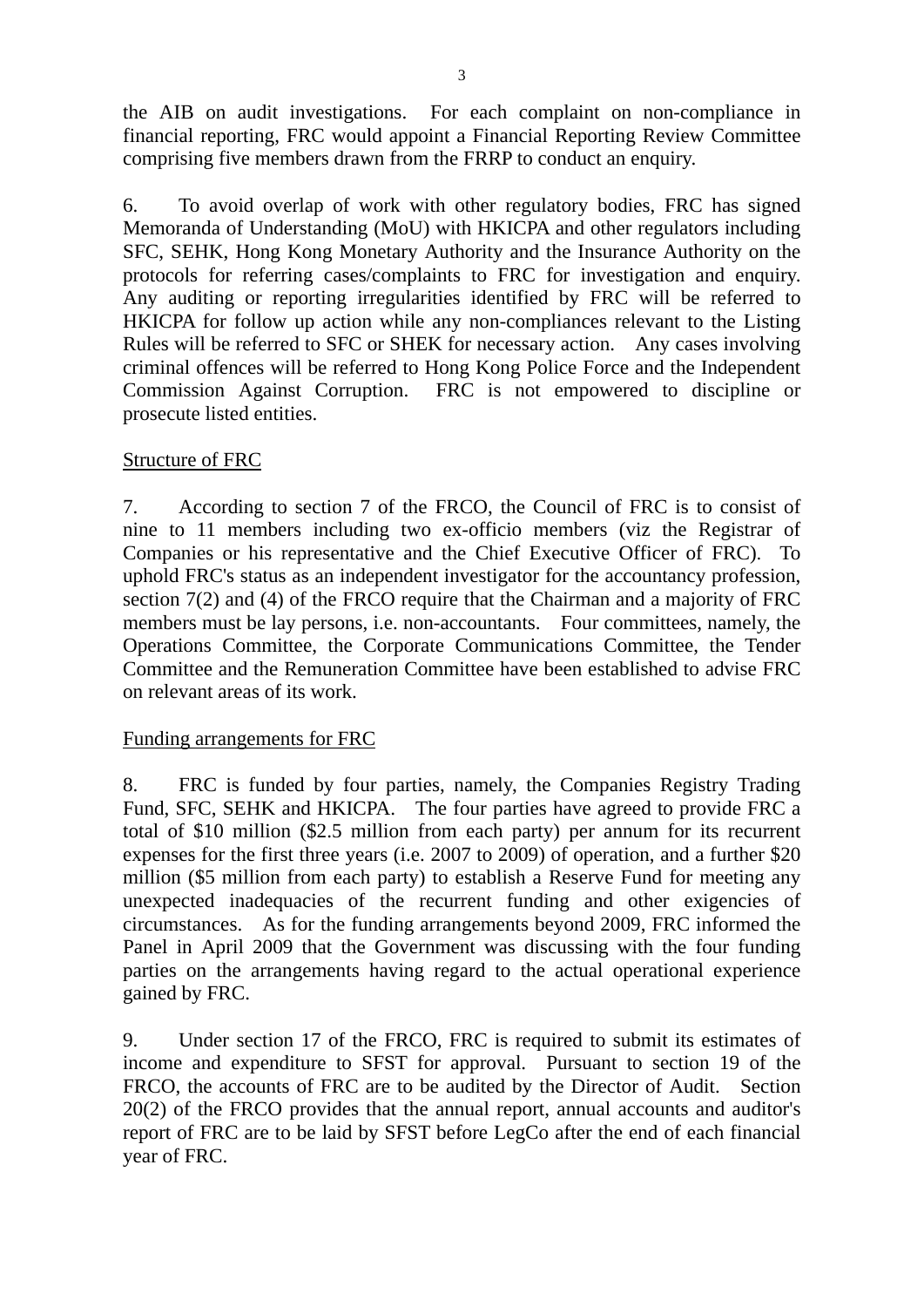the AIB on audit investigations. For each complaint on non-compliance in financial reporting, FRC would appoint a Financial Reporting Review Committee comprising five members drawn from the FRRP to conduct an enquiry.

6. To avoid overlap of work with other regulatory bodies, FRC has signed Memoranda of Understanding (MoU) with HKICPA and other regulators including SFC, SEHK, Hong Kong Monetary Authority and the Insurance Authority on the protocols for referring cases/complaints to FRC for investigation and enquiry. Any auditing or reporting irregularities identified by FRC will be referred to HKICPA for follow up action while any non-compliances relevant to the Listing Rules will be referred to SFC or SHEK for necessary action. Any cases involving criminal offences will be referred to Hong Kong Police Force and the Independent Commission Against Corruption. FRC is not empowered to discipline or prosecute listed entities.

## Structure of FRC

7. According to section 7 of the FRCO, the Council of FRC is to consist of nine to 11 members including two ex-officio members (viz the Registrar of Companies or his representative and the Chief Executive Officer of FRC). To uphold FRC's status as an independent investigator for the accountancy profession, section 7(2) and (4) of the FRCO require that the Chairman and a majority of FRC members must be lay persons, i.e. non-accountants. Four committees, namely, the Operations Committee, the Corporate Communications Committee, the Tender Committee and the Remuneration Committee have been established to advise FRC on relevant areas of its work.

## Funding arrangements for FRC

8. FRC is funded by four parties, namely, the Companies Registry Trading Fund, SFC, SEHK and HKICPA. The four parties have agreed to provide FRC a total of \$10 million (\$2.5 million from each party) per annum for its recurrent expenses for the first three years (i.e. 2007 to 2009) of operation, and a further \$20 million (\$5 million from each party) to establish a Reserve Fund for meeting any unexpected inadequacies of the recurrent funding and other exigencies of circumstances. As for the funding arrangements beyond 2009, FRC informed the Panel in April 2009 that the Government was discussing with the four funding parties on the arrangements having regard to the actual operational experience gained by FRC.

9. Under section 17 of the FRCO, FRC is required to submit its estimates of income and expenditure to SFST for approval. Pursuant to section 19 of the FRCO, the accounts of FRC are to be audited by the Director of Audit. Section 20(2) of the FRCO provides that the annual report, annual accounts and auditor's report of FRC are to be laid by SFST before LegCo after the end of each financial year of FRC.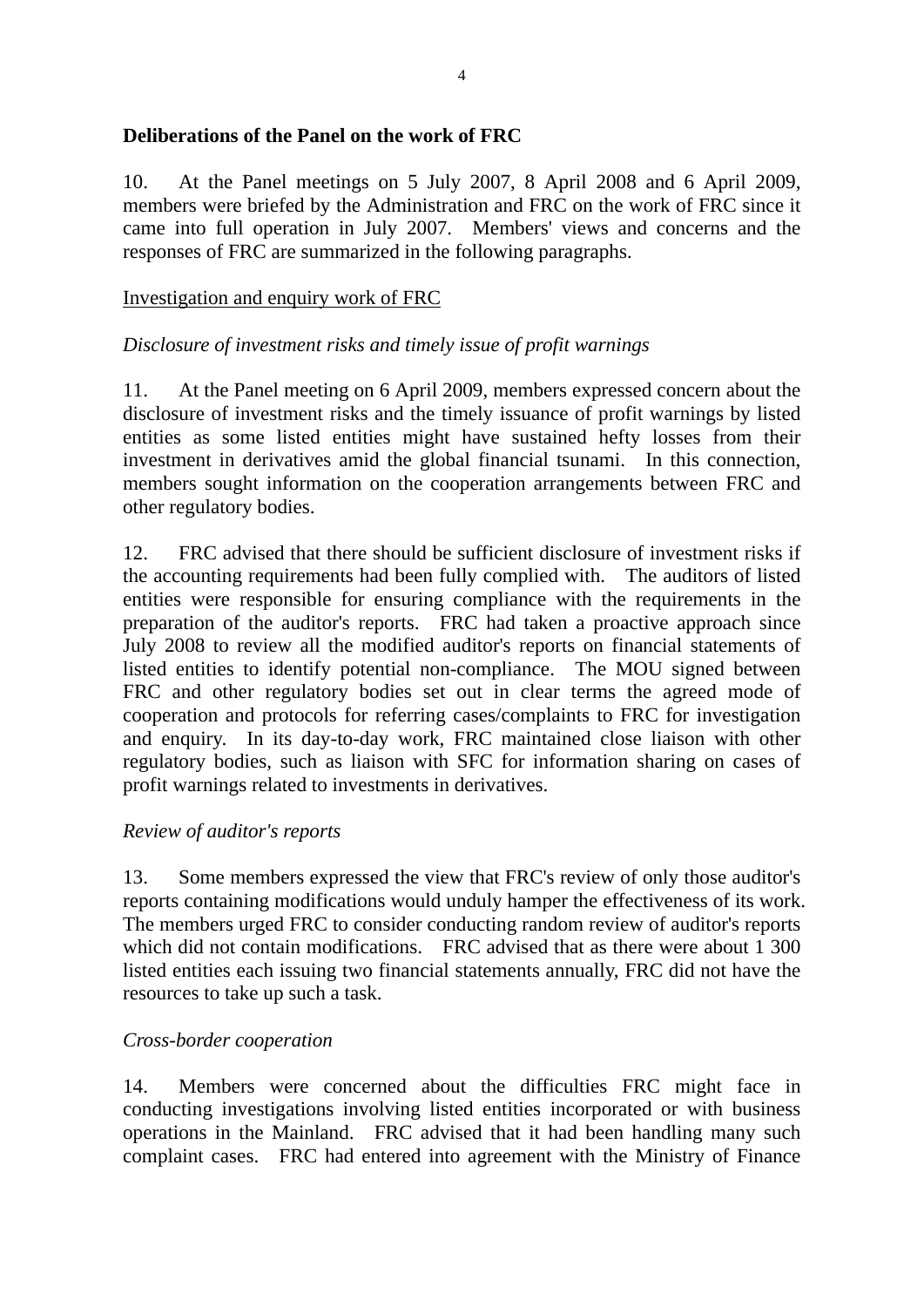# **Deliberations of the Panel on the work of FRC**

10. At the Panel meetings on 5 July 2007, 8 April 2008 and 6 April 2009, members were briefed by the Administration and FRC on the work of FRC since it came into full operation in July 2007. Members' views and concerns and the responses of FRC are summarized in the following paragraphs.

# Investigation and enquiry work of FRC

# *Disclosure of investment risks and timely issue of profit warnings*

11. At the Panel meeting on 6 April 2009, members expressed concern about the disclosure of investment risks and the timely issuance of profit warnings by listed entities as some listed entities might have sustained hefty losses from their investment in derivatives amid the global financial tsunami. In this connection, members sought information on the cooperation arrangements between FRC and other regulatory bodies.

12. FRC advised that there should be sufficient disclosure of investment risks if the accounting requirements had been fully complied with. The auditors of listed entities were responsible for ensuring compliance with the requirements in the preparation of the auditor's reports. FRC had taken a proactive approach since July 2008 to review all the modified auditor's reports on financial statements of listed entities to identify potential non-compliance. The MOU signed between FRC and other regulatory bodies set out in clear terms the agreed mode of cooperation and protocols for referring cases/complaints to FRC for investigation and enquiry. In its day-to-day work, FRC maintained close liaison with other regulatory bodies, such as liaison with SFC for information sharing on cases of profit warnings related to investments in derivatives.

## *Review of auditor's reports*

13. Some members expressed the view that FRC's review of only those auditor's reports containing modifications would unduly hamper the effectiveness of its work. The members urged FRC to consider conducting random review of auditor's reports which did not contain modifications. FRC advised that as there were about 1 300 listed entities each issuing two financial statements annually, FRC did not have the resources to take up such a task.

## *Cross-border cooperation*

14. Members were concerned about the difficulties FRC might face in conducting investigations involving listed entities incorporated or with business operations in the Mainland. FRC advised that it had been handling many such complaint cases. FRC had entered into agreement with the Ministry of Finance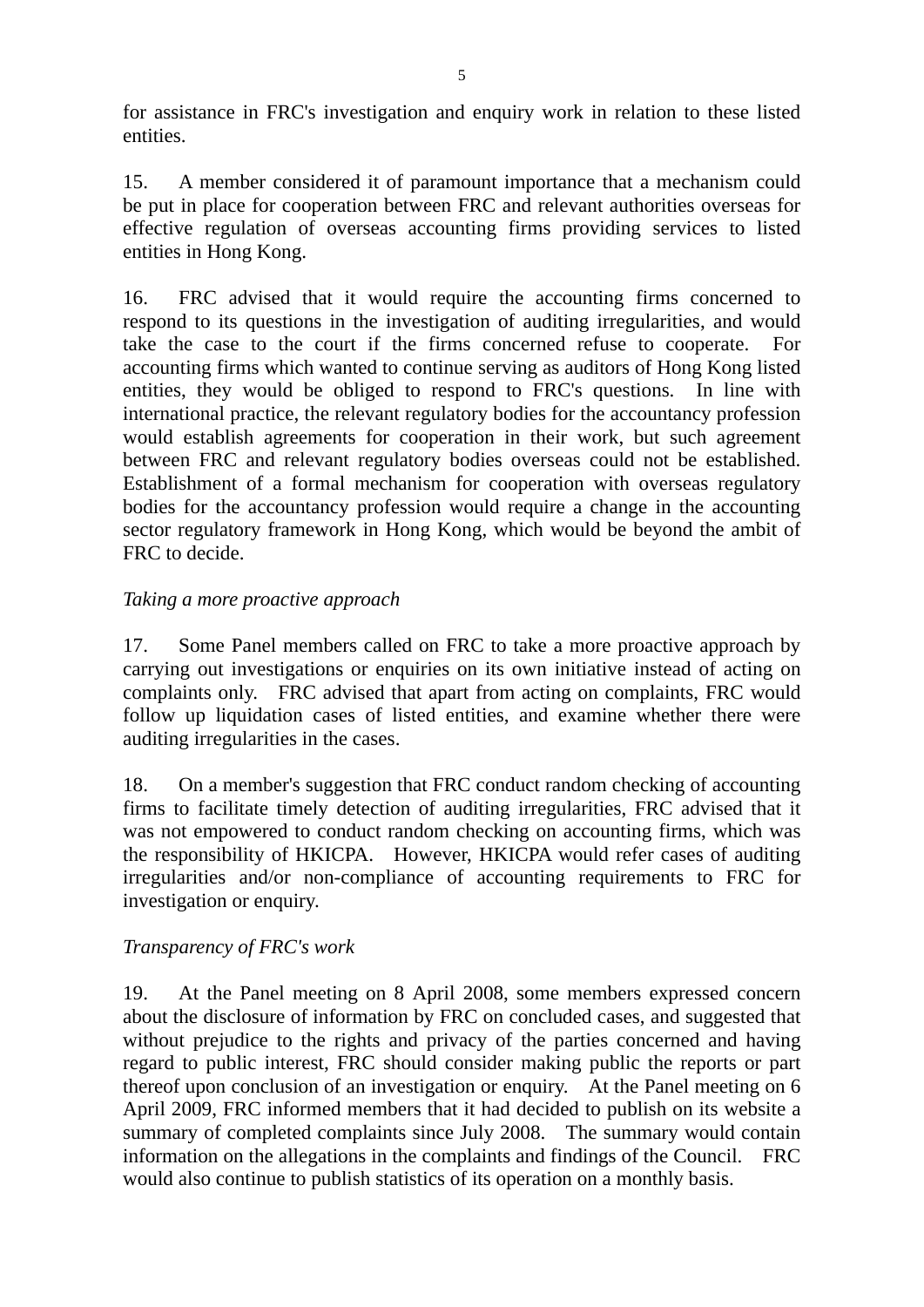for assistance in FRC's investigation and enquiry work in relation to these listed entities.

15. A member considered it of paramount importance that a mechanism could be put in place for cooperation between FRC and relevant authorities overseas for effective regulation of overseas accounting firms providing services to listed entities in Hong Kong.

16. FRC advised that it would require the accounting firms concerned to respond to its questions in the investigation of auditing irregularities, and would take the case to the court if the firms concerned refuse to cooperate. For accounting firms which wanted to continue serving as auditors of Hong Kong listed entities, they would be obliged to respond to FRC's questions. In line with international practice, the relevant regulatory bodies for the accountancy profession would establish agreements for cooperation in their work, but such agreement between FRC and relevant regulatory bodies overseas could not be established. Establishment of a formal mechanism for cooperation with overseas regulatory bodies for the accountancy profession would require a change in the accounting sector regulatory framework in Hong Kong, which would be beyond the ambit of FRC to decide.

## *Taking a more proactive approach*

17. Some Panel members called on FRC to take a more proactive approach by carrying out investigations or enquiries on its own initiative instead of acting on complaints only. FRC advised that apart from acting on complaints, FRC would follow up liquidation cases of listed entities, and examine whether there were auditing irregularities in the cases.

18. On a member's suggestion that FRC conduct random checking of accounting firms to facilitate timely detection of auditing irregularities, FRC advised that it was not empowered to conduct random checking on accounting firms, which was the responsibility of HKICPA. However, HKICPA would refer cases of auditing irregularities and/or non-compliance of accounting requirements to FRC for investigation or enquiry.

## *Transparency of FRC's work*

19. At the Panel meeting on 8 April 2008, some members expressed concern about the disclosure of information by FRC on concluded cases, and suggested that without prejudice to the rights and privacy of the parties concerned and having regard to public interest, FRC should consider making public the reports or part thereof upon conclusion of an investigation or enquiry. At the Panel meeting on 6 April 2009, FRC informed members that it had decided to publish on its website a summary of completed complaints since July 2008. The summary would contain information on the allegations in the complaints and findings of the Council. FRC would also continue to publish statistics of its operation on a monthly basis.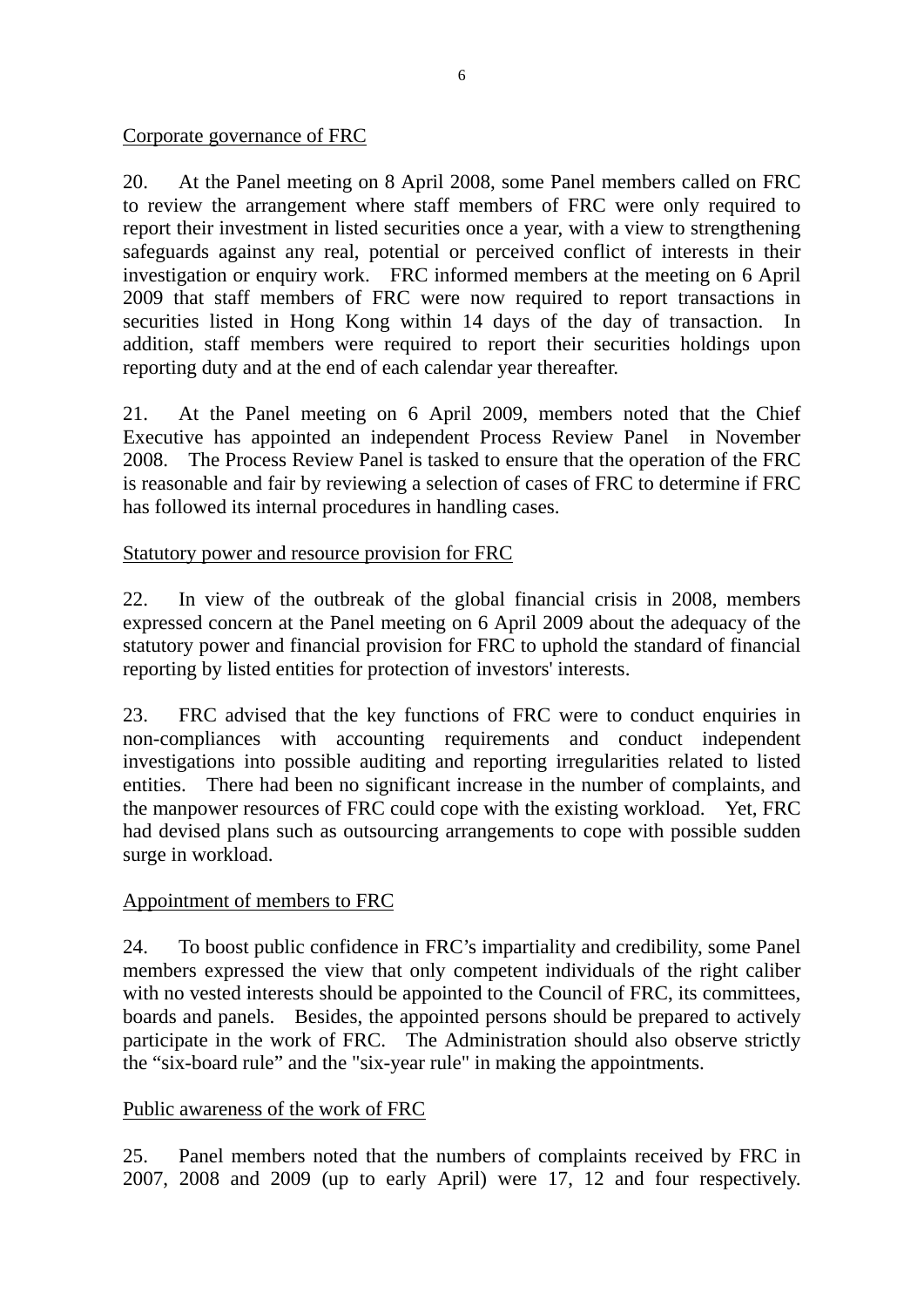#### Corporate governance of FRC

20. At the Panel meeting on 8 April 2008, some Panel members called on FRC to review the arrangement where staff members of FRC were only required to report their investment in listed securities once a year, with a view to strengthening safeguards against any real, potential or perceived conflict of interests in their investigation or enquiry work. FRC informed members at the meeting on 6 April 2009 that staff members of FRC were now required to report transactions in securities listed in Hong Kong within 14 days of the day of transaction. In addition, staff members were required to report their securities holdings upon reporting duty and at the end of each calendar year thereafter.

21. At the Panel meeting on 6 April 2009, members noted that the Chief Executive has appointed an independent Process Review Panel in November 2008. The Process Review Panel is tasked to ensure that the operation of the FRC is reasonable and fair by reviewing a selection of cases of FRC to determine if FRC has followed its internal procedures in handling cases.

## Statutory power and resource provision for FRC

22. In view of the outbreak of the global financial crisis in 2008, members expressed concern at the Panel meeting on 6 April 2009 about the adequacy of the statutory power and financial provision for FRC to uphold the standard of financial reporting by listed entities for protection of investors' interests.

23. FRC advised that the key functions of FRC were to conduct enquiries in non-compliances with accounting requirements and conduct independent investigations into possible auditing and reporting irregularities related to listed entities. There had been no significant increase in the number of complaints, and the manpower resources of FRC could cope with the existing workload. Yet, FRC had devised plans such as outsourcing arrangements to cope with possible sudden surge in workload.

## Appointment of members to FRC

24. To boost public confidence in FRC's impartiality and credibility, some Panel members expressed the view that only competent individuals of the right caliber with no vested interests should be appointed to the Council of FRC, its committees, boards and panels. Besides, the appointed persons should be prepared to actively participate in the work of FRC. The Administration should also observe strictly the "six-board rule" and the "six-year rule" in making the appointments.

## Public awareness of the work of FRC

25. Panel members noted that the numbers of complaints received by FRC in 2007, 2008 and 2009 (up to early April) were 17, 12 and four respectively.